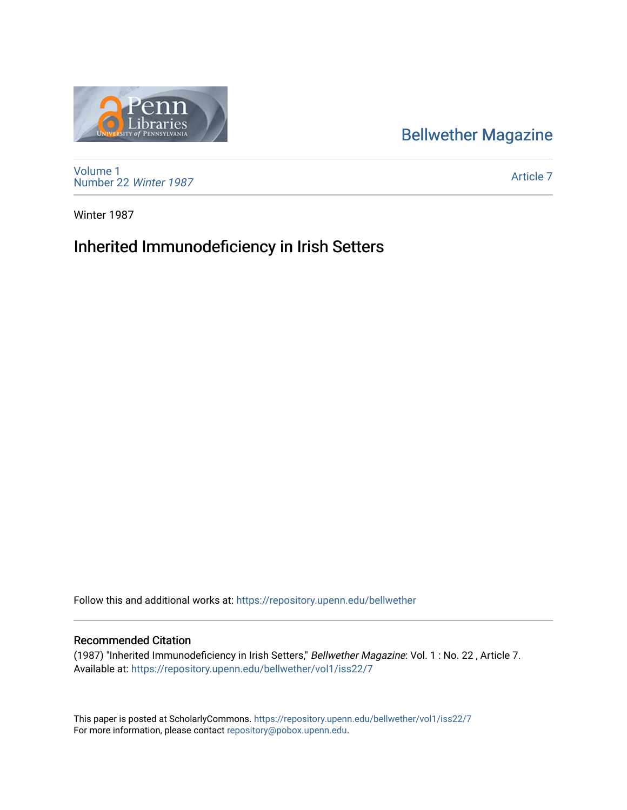## [Bellwether Magazine](https://repository.upenn.edu/bellwether)



[Volume 1](https://repository.upenn.edu/bellwether/vol1) [Number 22](https://repository.upenn.edu/bellwether/vol1/iss22) Winter 1987

[Article 7](https://repository.upenn.edu/bellwether/vol1/iss22/7) 

Winter 1987

## Inherited Immunodeficiency in Irish Setters

Follow this and additional works at: [https://repository.upenn.edu/bellwether](https://repository.upenn.edu/bellwether?utm_source=repository.upenn.edu%2Fbellwether%2Fvol1%2Fiss22%2F7&utm_medium=PDF&utm_campaign=PDFCoverPages) 

## Recommended Citation

(1987) "Inherited Immunodeficiency in Irish Setters," Bellwether Magazine: Vol. 1 : No. 22 , Article 7. Available at: [https://repository.upenn.edu/bellwether/vol1/iss22/7](https://repository.upenn.edu/bellwether/vol1/iss22/7?utm_source=repository.upenn.edu%2Fbellwether%2Fvol1%2Fiss22%2F7&utm_medium=PDF&utm_campaign=PDFCoverPages)

This paper is posted at ScholarlyCommons.<https://repository.upenn.edu/bellwether/vol1/iss22/7> For more information, please contact [repository@pobox.upenn.edu.](mailto:repository@pobox.upenn.edu)